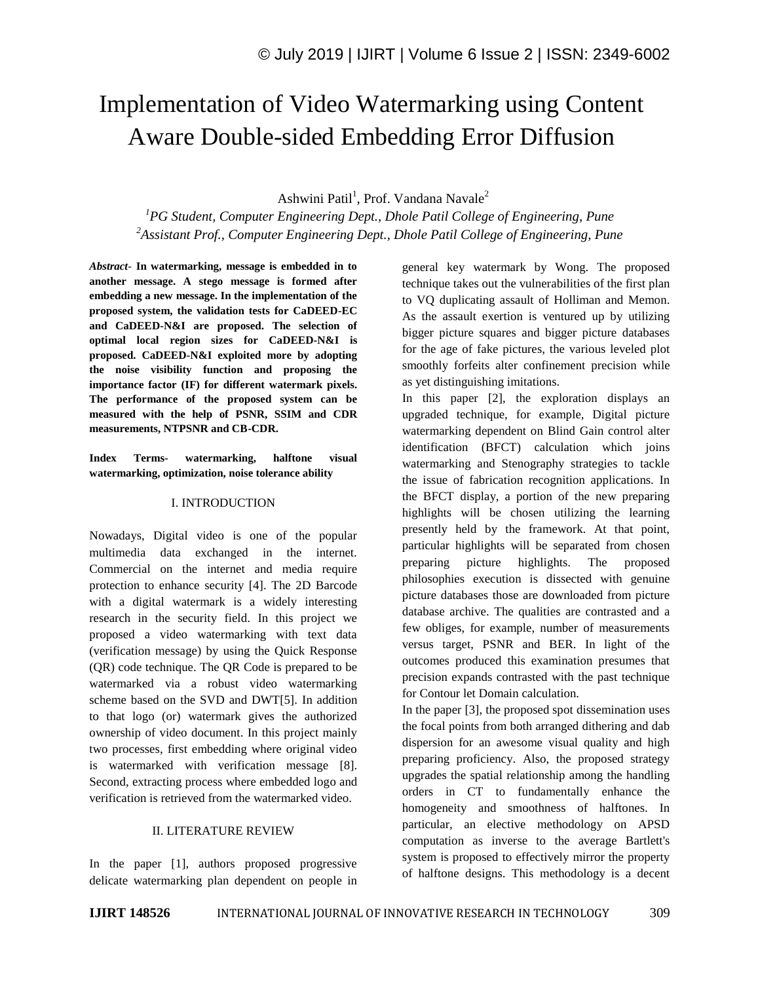# Implementation of Video Watermarking using Content Aware Double-sided Embedding Error Diffusion

Ashwini Patil<sup>1</sup>, Prof. Vandana Navale<sup>2</sup>

*<sup>1</sup>PG Student, Computer Engineering Dept., Dhole Patil College of Engineering, Pune <sup>2</sup>Assistant Prof., Computer Engineering Dept., Dhole Patil College of Engineering, Pune*

*Abstract*- **In watermarking, message is embedded in to another message. A stego message is formed after embedding a new message. In the implementation of the proposed system, the validation tests for CaDEED-EC and CaDEED-N&I are proposed. The selection of optimal local region sizes for CaDEED-N&I is proposed. CaDEED-N&I exploited more by adopting the noise visibility function and proposing the importance factor (IF) for different watermark pixels. The performance of the proposed system can be measured with the help of PSNR, SSIM and CDR measurements, NTPSNR and CB-CDR.**

**Index Terms- watermarking, halftone visual watermarking, optimization, noise tolerance ability**

#### I. INTRODUCTION

Nowadays, Digital video is one of the popular multimedia data exchanged in the internet. Commercial on the internet and media require protection to enhance security [4]. The 2D Barcode with a digital watermark is a widely interesting research in the security field. In this project we proposed a video watermarking with text data (verification message) by using the Quick Response (QR) code technique. The QR Code is prepared to be watermarked via a robust video watermarking scheme based on the SVD and DWT[5]. In addition to that logo (or) watermark gives the authorized ownership of video document. In this project mainly two processes, first embedding where original video is watermarked with verification message [8]. Second, extracting process where embedded logo and verification is retrieved from the watermarked video.

### II. LITERATURE REVIEW

In the paper [1], authors proposed progressive delicate watermarking plan dependent on people in general key watermark by Wong. The proposed technique takes out the vulnerabilities of the first plan to VQ duplicating assault of Holliman and Memon. As the assault exertion is ventured up by utilizing bigger picture squares and bigger picture databases for the age of fake pictures, the various leveled plot smoothly forfeits alter confinement precision while as yet distinguishing imitations.

In this paper [2], the exploration displays an upgraded technique, for example, Digital picture watermarking dependent on Blind Gain control alter identification (BFCT) calculation which joins watermarking and Stenography strategies to tackle the issue of fabrication recognition applications. In the BFCT display, a portion of the new preparing highlights will be chosen utilizing the learning presently held by the framework. At that point, particular highlights will be separated from chosen preparing picture highlights. The proposed philosophies execution is dissected with genuine picture databases those are downloaded from picture database archive. The qualities are contrasted and a few obliges, for example, number of measurements versus target, PSNR and BER. In light of the outcomes produced this examination presumes that precision expands contrasted with the past technique for Contour let Domain calculation.

In the paper [3], the proposed spot dissemination uses the focal points from both arranged dithering and dab dispersion for an awesome visual quality and high preparing proficiency. Also, the proposed strategy upgrades the spatial relationship among the handling orders in CT to fundamentally enhance the homogeneity and smoothness of halftones. In particular, an elective methodology on APSD computation as inverse to the average Bartlett's system is proposed to effectively mirror the property of halftone designs. This methodology is a decent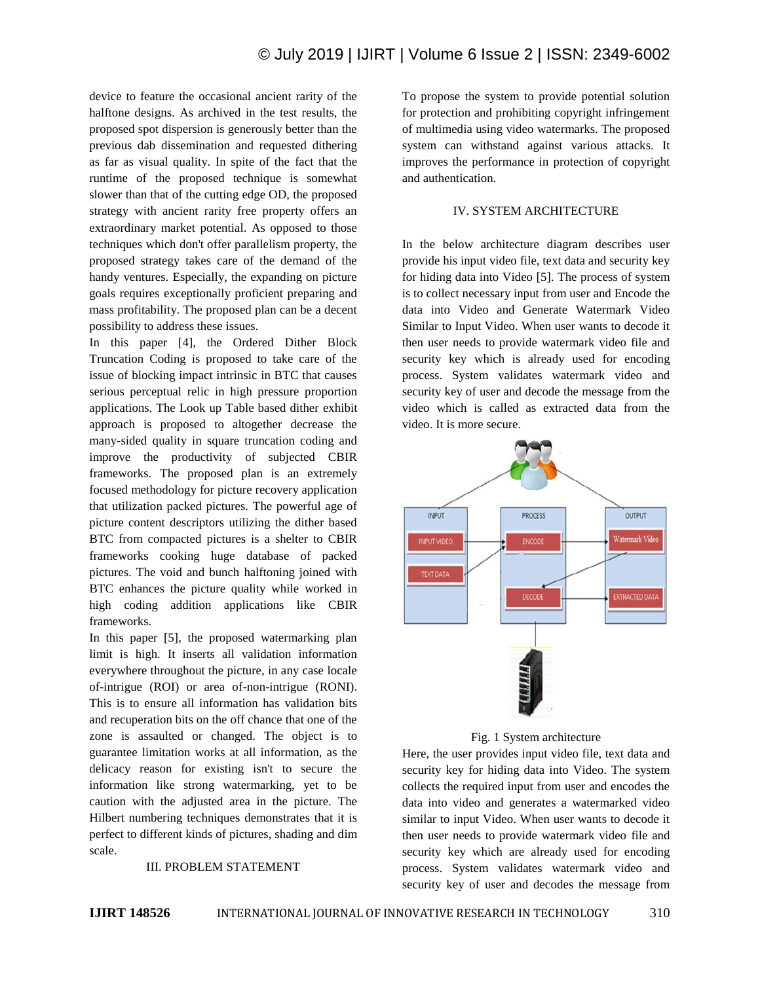device to feature the occasional ancient rarity of the halftone designs. As archived in the test results, the proposed spot dispersion is generously better than the previous dab dissemination and requested dithering as far as visual quality. In spite of the fact that the runtime of the proposed technique is somewhat slower than that of the cutting edge OD, the proposed strategy with ancient rarity free property offers an extraordinary market potential. As opposed to those techniques which don't offer parallelism property, the proposed strategy takes care of the demand of the handy ventures. Especially, the expanding on picture goals requires exceptionally proficient preparing and mass profitability. The proposed plan can be a decent possibility to address these issues.

In this paper [4], the Ordered Dither Block Truncation Coding is proposed to take care of the issue of blocking impact intrinsic in BTC that causes serious perceptual relic in high pressure proportion applications. The Look up Table based dither exhibit approach is proposed to altogether decrease the many-sided quality in square truncation coding and improve the productivity of subjected CBIR frameworks. The proposed plan is an extremely focused methodology for picture recovery application that utilization packed pictures. The powerful age of picture content descriptors utilizing the dither based BTC from compacted pictures is a shelter to CBIR frameworks cooking huge database of packed pictures. The void and bunch halftoning joined with BTC enhances the picture quality while worked in high coding addition applications like CBIR frameworks.

In this paper [5], the proposed watermarking plan limit is high. It inserts all validation information everywhere throughout the picture, in any case locale of-intrigue (ROI) or area of-non-intrigue (RONI). This is to ensure all information has validation bits and recuperation bits on the off chance that one of the zone is assaulted or changed. The object is to guarantee limitation works at all information, as the delicacy reason for existing isn't to secure the information like strong watermarking, yet to be caution with the adjusted area in the picture. The Hilbert numbering techniques demonstrates that it is perfect to different kinds of pictures, shading and dim scale.

### III. PROBLEM STATEMENT

To propose the system to provide potential solution for protection and prohibiting copyright infringement of multimedia using video watermarks. The proposed system can withstand against various attacks. It improves the performance in protection of copyright and authentication.

### IV. SYSTEM ARCHITECTURE

In the below architecture diagram describes user provide his input video file, text data and security key for hiding data into Video [5]. The process of system is to collect necessary input from user and Encode the data into Video and Generate Watermark Video Similar to Input Video. When user wants to decode it then user needs to provide watermark video file and security key which is already used for encoding process. System validates watermark video and security key of user and decode the message from the video which is called as extracted data from the video. It is more secure.



Fig. 1 System architecture

Here, the user provides input video file, text data and security key for hiding data into Video. The system collects the required input from user and encodes the data into video and generates a watermarked video similar to input Video. When user wants to decode it then user needs to provide watermark video file and security key which are already used for encoding process. System validates watermark video and security key of user and decodes the message from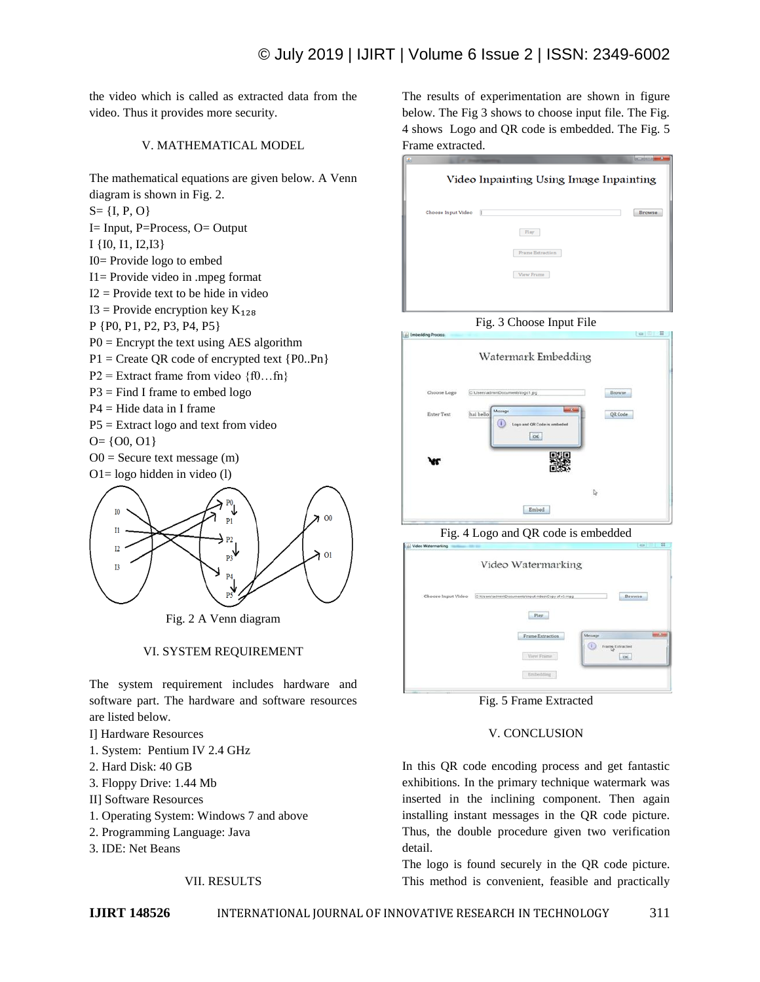the video which is called as extracted data from the video. Thus it provides more security.

### V. MATHEMATICAL MODEL

The mathematical equations are given below. A Venn diagram is shown in Fig. 2.

 $S = \{I, P, O\}$ 

I= Input, P=Process, O= Output

I {I0, I1, I2,I3}

I0= Provide logo to embed

I1= Provide video in .mpeg format

 $I2 =$  Provide text to be hide in video

I3 = Provide encryption key  $K_{128}$ 

P {P0, P1, P2, P3, P4, P5}

 $P0 =$  Encrypt the text using AES algorithm

 $P1 =$  Create QR code of encrypted text  $\{P0..Pn\}$ 

P2 = Extract frame from video  $\{f0...fn\}$ 

 $P3 = Find I$  frame to embed logo

P4 = Hide data in I frame

P5 = Extract logo and text from video

$$
O = \{00, 01\}
$$

 $O0 =$  Secure text message  $(m)$ O1= logo hidden in video (l)



Fig. 2 A Venn diagram

### VI. SYSTEM REQUIREMENT

The system requirement includes hardware and software part. The hardware and software resources are listed below.

I] Hardware Resources

- 1. System: Pentium IV 2.4 GHz
- 2. Hard Disk: 40 GB
- 3. Floppy Drive: 1.44 Mb
- II] Software Resources
- 1. Operating System: Windows 7 and above
- 2. Programming Language: Java
- 3. IDE: Net Beans

### VII. RESULTS

The results of experimentation are shown in figure below. The Fig 3 shows to choose input file. The Fig. 4 shows Logo and QR code is embedded. The Fig. 5 Frame extracted.

## Video Inpainting Using Image Inpainting Choose Input Video **Browse**  $\quad$  Play  $\begin{tabular}{|c|} \hline \texttt{Frame Extraction} \\ \hline \end{tabular}$  $\blacksquare$  <br> View Frame





Fig. 4 Logo and QR code is embedded



Fig. 5 Frame Extracted

### V. CONCLUSION

In this QR code encoding process and get fantastic exhibitions. In the primary technique watermark was inserted in the inclining component. Then again installing instant messages in the QR code picture. Thus, the double procedure given two verification detail.

The logo is found securely in the QR code picture. This method is convenient, feasible and practically